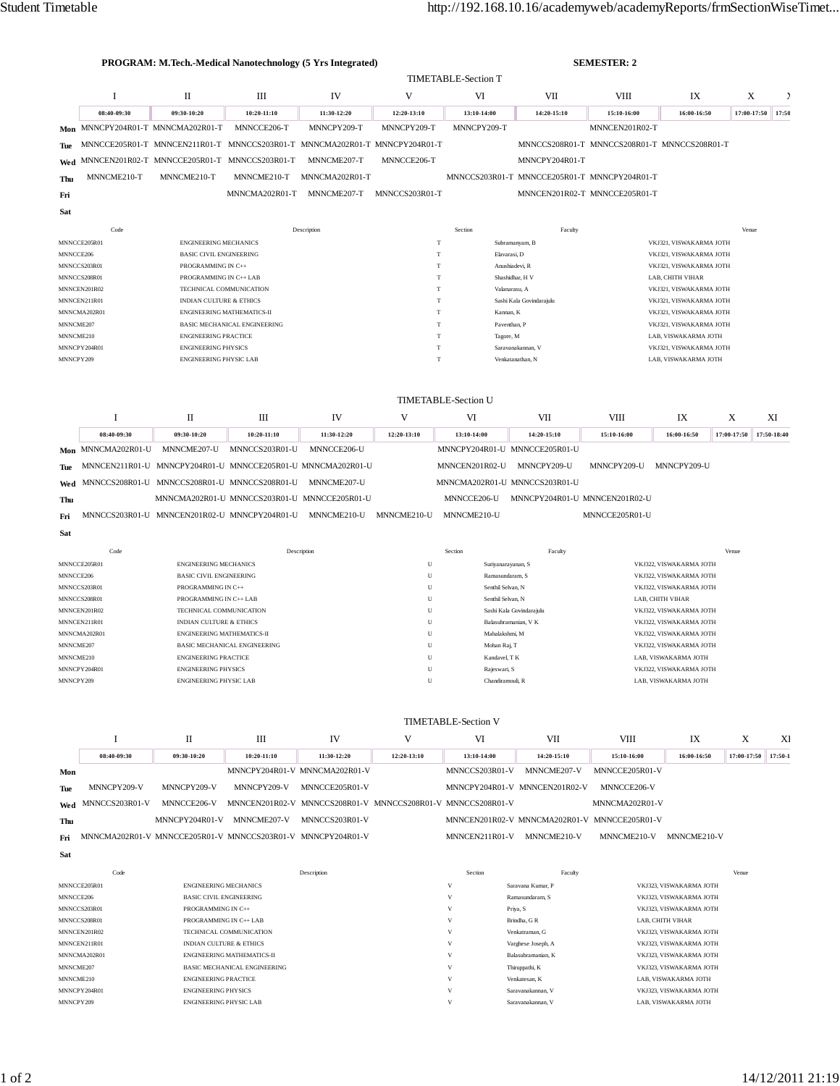|           |                                   | PROGRAM: M.Tech.-Medical Nanotechnology (5 Yrs Integrated)     |                                                  | <b>SEMESTER: 2</b>                                                         |                |                                                |                                              |                |                                                    |                  |             |  |
|-----------|-----------------------------------|----------------------------------------------------------------|--------------------------------------------------|----------------------------------------------------------------------------|----------------|------------------------------------------------|----------------------------------------------|----------------|----------------------------------------------------|------------------|-------------|--|
|           |                                   |                                                                |                                                  |                                                                            |                | <b>TIMETABLE-Section T</b>                     |                                              |                |                                                    |                  |             |  |
|           | I                                 | $\mathbf{I}$                                                   | III                                              | IV                                                                         | V              | VI                                             | VII                                          | <b>VIII</b>    | IX                                                 | X                | 2           |  |
|           | 08:40-09:30                       | 09:30-10:20                                                    | 10:20-11:10                                      | 11:30-12:20                                                                | 12:20-13:10    | 13:10-14:00                                    | 14:20-15:10                                  | 15:10-16:00    | 16:00-16:50                                        | 17:00-17:50      | 17:50       |  |
|           | Mon MNNCPY204R01-T MNNCMA202R01-T |                                                                | MNNCCE206-T                                      | MNNCPY209-T                                                                | MNNCPY209-T    | MNNCPY209-T                                    |                                              | MNNCEN201R02-T |                                                    |                  |             |  |
| Tue       |                                   |                                                                |                                                  | MNNCCE205R01-T MNNCEN211R01-T MNNCCS203R01-T MNNCMA202R01-T MNNCPY204R01-T |                |                                                | MNNCCS208R01-T MNNCCS208R01-T MNNCCS208R01-T |                |                                                    |                  |             |  |
| Wed       |                                   | MNNCEN201R02-T MNNCCE205R01-T MNNCCS203R01-T                   |                                                  | MNNCME207-T                                                                | MNNCCE206-T    |                                                | MNNCPY204R01-T                               |                |                                                    |                  |             |  |
| Thu       | MNNCME210-T                       | MNNCME210-T                                                    | MNNCME210-T                                      | MNNCMA202R01-T                                                             |                |                                                | MNNCCS203R01-T MNNCCE205R01-T MNNCPY204R01-T |                |                                                    |                  |             |  |
| Fri       |                                   |                                                                | MNNCMA202R01-T                                   | MNNCME207-T                                                                | MNNCCS203R01-T |                                                | MNNCEN201R02-T MNNCCE205R01-T                |                |                                                    |                  |             |  |
| Sat       |                                   |                                                                |                                                  |                                                                            |                |                                                |                                              |                |                                                    |                  |             |  |
|           |                                   |                                                                |                                                  |                                                                            |                |                                                |                                              |                |                                                    |                  |             |  |
|           | Code                              |                                                                |                                                  | Description                                                                |                | Section                                        | Faculty                                      |                |                                                    | Venue            |             |  |
| MNNCCE206 | MNNCCE205R01                      | <b>ENGINEERING MECHANICS</b><br><b>BASIC CIVIL ENGINEERING</b> |                                                  |                                                                            | T<br>T         | Elavarasi, D                                   | Subramanyam, B                               |                | VKJ321, VISWAKARMA JOTH<br>VKJ321, VISWAKARMA JOTH |                  |             |  |
|           | MNNCCS203R01                      | PROGRAMMING IN C++                                             |                                                  |                                                                            |                | T<br>Anushiadevi, R<br>VKJ321, VISWAKARMA JOTH |                                              |                |                                                    |                  |             |  |
|           | MNNCCS208R01                      | PROGRAMMING IN C++ LAB                                         |                                                  |                                                                            |                | Shashidhar, H V<br>T                           |                                              |                |                                                    | LAB, CHITH VIHAR |             |  |
|           | MNNCEN201R02                      | TECHNICAL COMMUNICATION                                        |                                                  |                                                                            | T              | Valanarasu, A                                  |                                              |                | VKJ321, VISWAKARMA JOTH                            |                  |             |  |
|           | MNNCEN211R01                      | <b>INDIAN CULTURE &amp; ETHICS</b>                             |                                                  |                                                                            | T              |                                                | Sashi Kala Govindarajulu                     |                | VKJ321, VISWAKARMA JOTH                            |                  |             |  |
|           | MNNCMA202R01                      |                                                                | <b>ENGINEERING MATHEMATICS-II</b>                |                                                                            | T              | Kannan, K                                      |                                              |                | VKJ321, VISWAKARMA JOTH                            |                  |             |  |
| MNNCME207 |                                   |                                                                | BASIC MECHANICAL ENGINEERING                     |                                                                            | T              | Paventhan, P                                   |                                              |                | VKJ321, VISWAKARMA JOTH                            |                  |             |  |
| MNNCME210 |                                   | <b>ENGINEERING PRACTICE</b>                                    |                                                  |                                                                            | T<br>T         | Tagore, M                                      |                                              |                | LAB, VISWAKARMA JOTH                               |                  |             |  |
| MNNCPY209 | MNNCPY204R01                      | <b>ENGINEERING PHYSICS</b><br><b>ENGINEERING PHYSIC LAB</b>    |                                                  |                                                                            | T              |                                                | Saravanakannan, V<br>Venkatanathan, N        |                | VKJ321, VISWAKARMA JOTH<br>LAB, VISWAKARMA JOTH    |                  |             |  |
|           |                                   |                                                                |                                                  |                                                                            |                |                                                |                                              |                |                                                    |                  |             |  |
|           |                                   |                                                                |                                                  |                                                                            |                | <b>TIMETABLE-Section U</b>                     |                                              |                |                                                    |                  |             |  |
|           | I                                 | П                                                              | Ш                                                | IV                                                                         | V              | VI                                             | VII                                          | <b>VIII</b>    | IX                                                 | X                | XI          |  |
|           | 08:40-09:30                       | 09:30-10:20                                                    | 10:20-11:10                                      | 11:30-12:20                                                                | 12:20-13:10    | 13:10-14:00                                    | 14:20-15:10                                  | 15:10-16:00    | 16:00-16:50                                        | 17:00-17:50      | 17:50-18:40 |  |
|           | Mon MNNCMA202R01-U                | MNNCME207-U                                                    | MNNCCS203R01-U                                   | MNNCCE206-U                                                                |                | MNNCPY204R01-U MNNCCE205R01-U                  |                                              |                |                                                    |                  |             |  |
| Tue       |                                   |                                                                |                                                  | MNNCEN211R01-U MNNCPY204R01-U MNNCCE205R01-U MNNCMA202R01-U                |                | MNNCEN201R02-U                                 | MNNCPY209-U                                  | MNNCPY209-U    | MNNCPY209-U                                        |                  |             |  |
|           |                                   |                                                                | Wed MNNCCS208R01-U MNNCCS208R01-U MNNCCS208R01-U | MNNCME207-U                                                                |                | MNNCMA202R01-U MNNCCS203R01-U                  |                                              |                |                                                    |                  |             |  |

**Thu** MNNCMA202R01-U MNNCCS203R01-U MNNCCE205R01-U MNNCCE206-U MNNCPY204R01-U MNNCEN201R02-U **Fri** MNNCCS203R01-U MNNCEN201R02-U MNNCPY204R01-U MNNCME210-U MNNCME210-U MNNCME210-U MNNCCE205R01-U

| ь. |  |
|----|--|

**Sat**

| Code         | Description                         | Section | Faculty                  | Venue                   |
|--------------|-------------------------------------|---------|--------------------------|-------------------------|
| MNNCCE205R01 | <b>ENGINEERING MECHANICS</b>        | U       | Suriyanarayanan, S       | VKJ322, VISWAKARMA JOTH |
| MNNCCE206    | <b>BASIC CIVIL ENGINEERING</b>      | U       | Ramasundaram, S          | VKJ322, VISWAKARMA JOTH |
| MNNCCS203R01 | PROGRAMMING IN C++                  | U       | Senthil Selvan, N        | VKJ322, VISWAKARMA JOTH |
| MNNCCS208R01 | PROGRAMMING IN C++ LAB              | U       | Senthil Selvan, N        | LAB, CHITH VIHAR        |
| MNNCEN201R02 | TECHNICAL COMMUNICATION             | U       | Sashi Kala Govindarajulu | VKJ322, VISWAKARMA JOTH |
| MNNCEN211R01 | <b>INDIAN CULTURE &amp; ETHICS</b>  | U       | Balasubramanian, V K     | VKJ322, VISWAKARMA JOTH |
| MNNCMA202R01 | <b>ENGINEERING MATHEMATICS-II</b>   | U       | Mahalakshmi, M           | VKJ322, VISWAKARMA JOTH |
| MNNCME207    | <b>BASIC MECHANICAL ENGINEERING</b> | U       | Mohan Raj, T             | VKJ322, VISWAKARMA JOTH |
| MNNCME210    | <b>ENGINEERING PRACTICE</b>         | U       | Kandavel, T K            | LAB. VISWAKARMA JOTH    |
| MNNCPY204R01 | <b>ENGINEERING PHYSICS</b>          | U       | Rajeswari, S             | VKJ322, VISWAKARMA JOTH |
| MNNCPY209    | <b>ENGINEERING PHYSIC LAB</b>       | U       | Chandiramouli, R         | LAB. VISWAKARMA JOTH    |

## TIMETABLE-Section V

|            |                                                             |                | Ш                       | IV                                                          |               | VI             | VII                                          | VIII           | IX          |             | XI      |
|------------|-------------------------------------------------------------|----------------|-------------------------|-------------------------------------------------------------|---------------|----------------|----------------------------------------------|----------------|-------------|-------------|---------|
|            | 08:40-09:30                                                 | 09:30-10:20    | $10:20-11:10$           | 11:30-12:20                                                 | $12:20-13:10$ | 13:10-14:00    | 14:20-15:10                                  | 15:10-16:00    | 16:00-16:50 | 17:00-17:50 | 17:50-1 |
| Mon        |                                                             |                |                         | MNNCPY204R01-V MNNCMA202R01-V                               |               | MNNCCS203R01-V | MNNCME207-V                                  | MNNCCE205R01-V |             |             |         |
| <b>Tue</b> | MNNCPY209-V                                                 | MNNCPY209-V    | MNNCPY209-V             | MNNCCE205R01-V                                              |               |                | MNNCPY204R01-V MNNCEN201R02-V                | MNNCCE206-V    |             |             |         |
|            | $W_{\text{ed}}$ MNNCCS203R01-V                              | MNNCCE206-V    |                         | MNNCEN201R02-V MNNCCS208R01-V MNNCCS208R01-V MNNCCS208R01-V |               |                |                                              | MNNCMA202R01-V |             |             |         |
| Thu        |                                                             | MNNCPY204R01-V | MNNCME <sub>207-V</sub> | MNNCCS203R01-V                                              |               |                | MNNCEN201R02-V MNNCMA202R01-V MNNCCE205R01-V |                |             |             |         |
| Fri        | MNNCMA202R01-V MNNCCE205R01-V MNNCCS203R01-V MNNCPY204R01-V |                |                         |                                                             |               | MNNCEN211R01-V | MNNCME210-V                                  | MNNCME210-V    | MNNCME210-V |             |         |

| Code         | Description                         | Section | Faculty            | Venue                   |
|--------------|-------------------------------------|---------|--------------------|-------------------------|
| MNNCCE205R01 | <b>ENGINEERING MECHANICS</b>        | v       | Sarayana Kumar, P  | VKJ323. VISWAKARMA JOTH |
| MNNCCE206    | <b>BASIC CIVIL ENGINEERING</b>      | v       | Ramasundaram, S    | VKJ323. VISWAKARMA JOTH |
| MNNCCS203R01 | PROGRAMMING IN C++                  | v       | Priya, S           | VKJ323. VISWAKARMA JOTH |
| MNNCCS208R01 | PROGRAMMING IN C++ LAB              |         | Brindha, GR        | LAB. CHITH VIHAR        |
| MNNCEN201R02 | TECHNICAL COMMUNICATION             | v       | Venkatraman, G     | VKJ323. VISWAKARMA JOTH |
| MNNCEN211R01 | <b>INDIAN CULTURE &amp; ETHICS</b>  | v       | Varghese Joseph, A | VKJ323, VISWAKARMA JOTH |
| MNNCMA202R01 | <b>ENGINEERING MATHEMATICS-II</b>   | v       | Balasubramanian, K | VKJ323. VISWAKARMA JOTH |
| MNNCME207    | <b>BASIC MECHANICAL ENGINEERING</b> | v       | Thiruppathi, K     | VKJ323. VISWAKARMA JOTH |
| MNNCME210    | <b>ENGINEERING PRACTICE</b>         | v       | Venkatesan, K      | LAB, VISWAKARMA JOTH    |
| MNNCPY204R01 | <b>ENGINEERING PHYSICS</b>          | v       | Saravanakannan. V  | VKJ323, VISWAKARMA JOTH |
| MNNCPY209    | <b>ENGINEERING PHYSIC LAB</b>       | V       | Saravanakannan. V  | LAB. VISWAKARMA JOTH    |